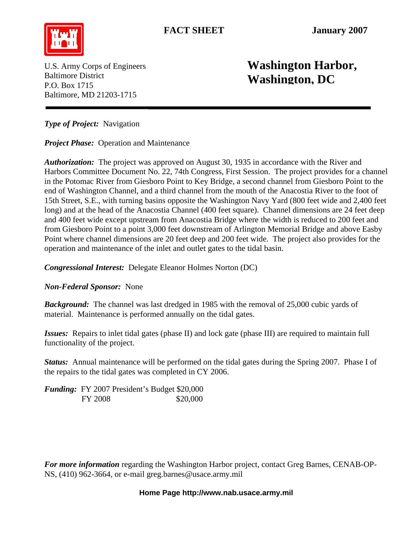FACT SHEET January 2007



P.O. Box 1715 Baltimore, MD 21203-1715

## U.S. Army Corps of Engineers **Washington Harbor, Washington Harbor**, **Washington, DC**

*Type of Project:* Navigation

*Project Phase:* Operation and Maintenance

*Authorization:* The project was approved on August 30, 1935 in accordance with the River and Harbors Committee Document No. 22, 74th Congress, First Session. The project provides for a channel in the Potomac River from Giesboro Point to Key Bridge, a second channel from Giesboro Point to the end of Washington Channel, and a third channel from the mouth of the Anacostia River to the foot of 15th Street, S.E., with turning basins opposite the Washington Navy Yard (800 feet wide and 2,400 feet long) and at the head of the Anacostia Channel (400 feet square). Channel dimensions are 24 feet deep and 400 feet wide except upstream from Anacostia Bridge where the width is reduced to 200 feet and from Giesboro Point to a point 3,000 feet downstream of Arlington Memorial Bridge and above Easby Point where channel dimensions are 20 feet deep and 200 feet wide. The project also provides for the operation and maintenance of the inlet and outlet gates to the tidal basin.

*Congressional Interest:* Delegate Eleanor Holmes Norton (DC)

*Non-Federal Sponsor:* None

*Background:* The channel was last dredged in 1985 with the removal of 25,000 cubic yards of material. Maintenance is performed annually on the tidal gates.

*Issues:* Repairs to inlet tidal gates (phase II) and lock gate (phase III) are required to maintain full functionality of the project.

*Status:* Annual maintenance will be performed on the tidal gates during the Spring 2007. Phase I of the repairs to the tidal gates was completed in CY 2006.

*Funding:* FY 2007 President's Budget \$20,000 FY 2008 \$20,000

*For more information* regarding the Washington Harbor project, contact Greg Barnes, CENAB-OP-NS, (410) 962-3664, or e-mail [greg.barnes@usace.army.mil](mailto:greg.barnes@usace.army.mil)

## **Home Page [http://www.nab.usace.army.mil](http://www.nab.usace.army.mil/)**